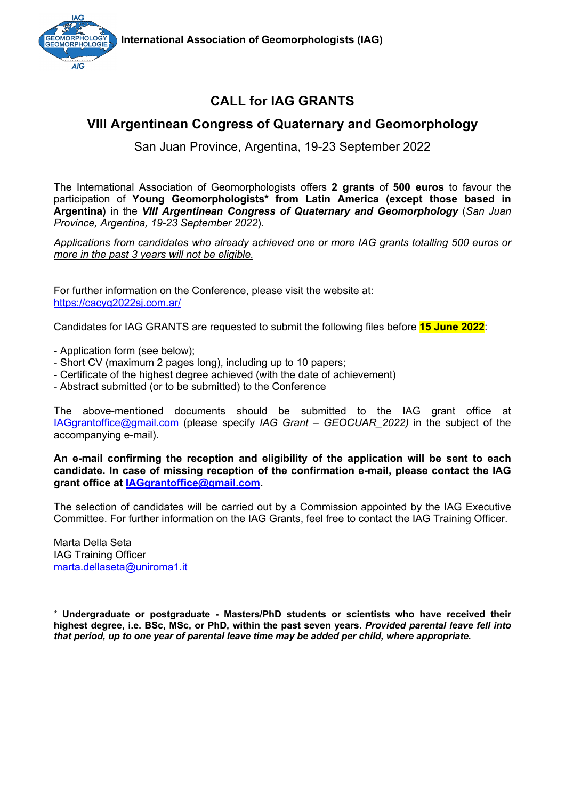



# **CALL for IAG GRANTS**

### **VIII Argentinean Congress of Quaternary and Geomorphology**

San Juan Province, Argentina, 19-23 September 2022

The International Association of Geomorphologists offers **2 grants** of **500 euros** to favour the participation of **Young Geomorphologists\* from Latin America (except those based in Argentina)** in the *VIII Argentinean Congress of Quaternary and Geomorphology* (*San Juan Province, Argentina, 19-23 September 2022*).

*Applications from candidates who already achieved one or more IAG grants totalling 500 euros or more in the past 3 years will not be eligible.*

For further information on the Conference, please visit the website at: https://cacyg2022sj.com.ar/

Candidates for IAG GRANTS are requested to submit the following files before **15 June 2022**:

- Application form (see below);
- Short CV (maximum 2 pages long), including up to 10 papers;
- Certificate of the highest degree achieved (with the date of achievement)
- Abstract submitted (or to be submitted) to the Conference

The above-mentioned documents should be submitted to the IAG grant office at IAGgrantoffice@gmail.com (please specify *IAG Grant – GEOCUAR\_2022)* in the subject of the accompanying e-mail).

**An e-mail confirming the reception and eligibility of the application will be sent to each candidate. In case of missing reception of the confirmation e-mail, please contact the IAG grant office at IAGgrantoffice@gmail.com.**

The selection of candidates will be carried out by a Commission appointed by the IAG Executive Committee. For further information on the IAG Grants, feel free to contact the IAG Training Officer.

Marta Della Seta IAG Training Officer marta.dellaseta@uniroma1.it

\* **Undergraduate or postgraduate - Masters/PhD students or scientists who have received their highest degree, i.e. BSc, MSc, or PhD, within the past seven years.** *Provided parental leave fell into that period, up to one year of parental leave time may be added per child, where appropriate.*